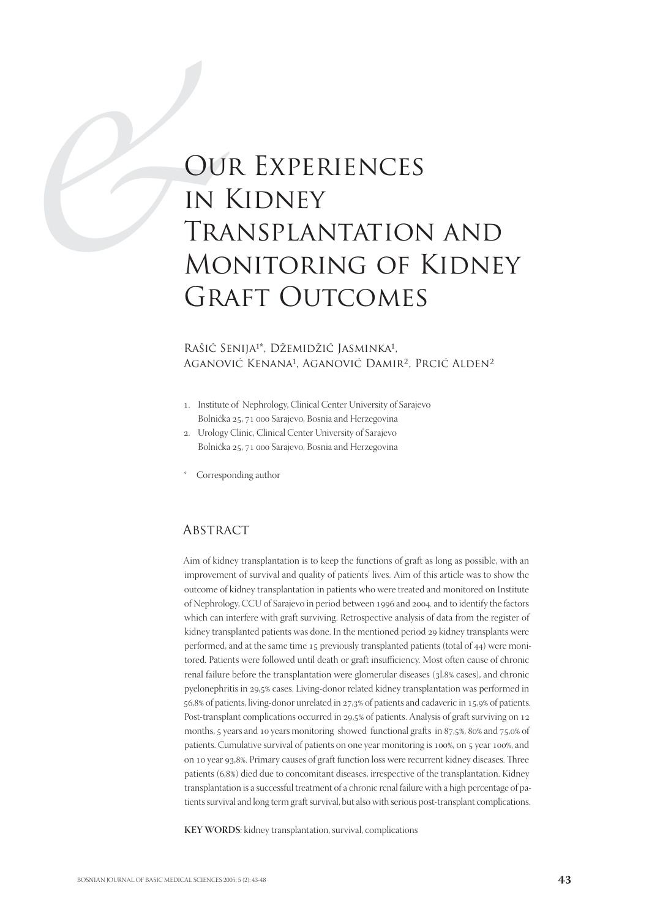# **OU**<br>IN IN TRA<br>MO<br>GR Our Experiences in Kidney Transplantation and Monitoring of Kidney GRAFT OUTCOMES

# Rašić Senija<sup>1\*</sup>, Džemidžić Jasminka<sup>1</sup>, AGANOVIĆ KENANA<sup>1</sup>, AGANOVIĆ DAMIR<sup>2</sup>, PRCIĆ ALDEN<sup>2</sup>

- . Institute of Nephrology, Clinical Center University of Sarajevo Bolnička 25, 71 000 Sarajevo, Bosnia and Herzegovina
- . Urology Clinic, Clinical Center University of Sarajevo Bolnička 25, 71 000 Sarajevo, Bosnia and Herzegovina
- Corresponding author

# **ABSTRACT**

Aim of kidney transplantation is to keep the functions of graft as long as possible, with an improvement of survival and quality of patients' lives. Aim of this article was to show the outcome of kidney transplantation in patients who were treated and monitored on Institute of Nephrology, CCU of Sarajevo in period between 1996 and 2004, and to identify the factors which can interfere with graft surviving. Retrospective analysis of data from the register of kidney transplanted patients was done. In the mentioned period 29 kidney transplants were performed, and at the same time  $15$  previously transplanted patients (total of  $44$ ) were monitored. Patients were followed until death or graft insufficiency. Most often cause of chronic renal failure before the transplantation were glomerular diseases (3l,8% cases), and chronic pyelonephritis in 29,5% cases. Living-donor related kidney transplantation was performed in  $56,8\%$  of patients, living-donor unrelated in  $27,3\%$  of patients and cadaveric in  $15,9\%$  of patients. Post-transplant complications occurred in 29,5% of patients. Analysis of graft surviving on 12 months, 5 years and 10 years monitoring showed functional grafts in  $87,5\%$ ,  $80\%$  and  $75,0\%$  of patients. Cumulative survival of patients on one year monitoring is 100%, on 5 year 100%, and on 10 year 93,8%. Primary causes of graft function loss were recurrent kidney diseases. Three patients (6,8%) died due to concomitant diseases, irrespective of the transplantation. Kidney transplantation is a successful treatment of a chronic renal failure with a high percentage of patients survival and long term graft survival, but also with serious post-transplant complications.

**KEY WORDS**: kidney transplantation, survival, complications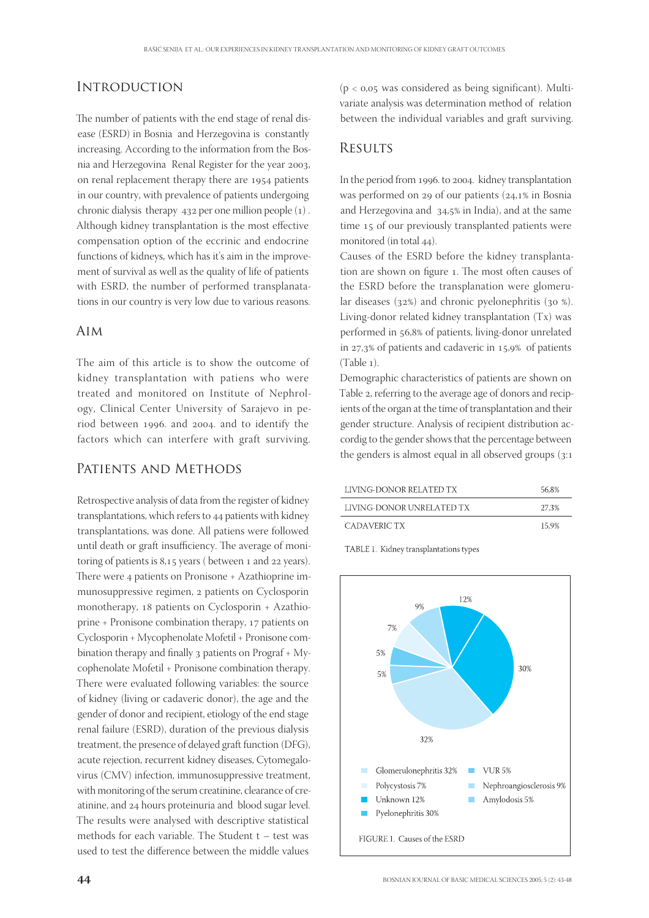# **INTRODUCTION**

The number of patients with the end stage of renal disease (ESRD) in Bosnia and Herzegovina is constantly increasing. According to the information from the Bosnia and Herzegovina Renal Register for the year 2003, on renal replacement therapy there are 1954 patients in our country, with prevalence of patients undergoing chronic dialysis therapy  $432$  per one million people  $(1)$ . Although kidney transplantation is the most effective compensation option of the eccrinic and endocrine functions of kidneys, which has it's aim in the improvement of survival as well as the quality of life of patients with ESRD, the number of performed transplanatations in our country is very low due to various reasons.

# Aim

The aim of this article is to show the outcome of kidney transplantation with patiens who were treated and monitored on Institute of Nephrology, Clinical Center University of Sarajevo in period between 1996. and 2004. and to identify the factors which can interfere with graft surviving.

#### Patients and Methods

Retrospective analysis of data from the register of kidney transplantations, which refers to 44 patients with kidney transplantations, was done. All patiens were followed until death or graft insufficiency. The average of monitoring of patients is  $8.15$  years ( between 1 and  $22$  years). There were 4 patients on Pronisone + Azathioprine immunosuppressive regimen, 2 patients on Cyclosporin monotherapy,  $18$  patients on Cyclosporin + Azathioprine + Pronisone combination therapy, 17 patients on Cyclosporin + Mycophenolate Mofetil + Pronisone combination therapy and finally  $_3$  patients on Prograf + Mycophenolate Mofetil + Pronisone combination therapy. There were evaluated following variables: the source of kidney (living or cadaveric donor), the age and the gender of donor and recipient, etiology of the end stage renal failure (ESRD), duration of the previous dialysis treatment, the presence of delayed graft function (DFG), acute rejection, recurrent kidney diseases, Cytomegalovirus (CMV) infection, immunosuppressive treatment, with monitoring of the serum creatinine, clearance of creatinine, and 24 hours proteinuria and blood sugar level. The results were analysed with descriptive statistical methods for each variable. The Student t – test was used to test the difference between the middle values

 $(p < 0.05$  was considered as being significant). Multivariate analysis was determination method of relation between the individual variables and graft surviving.

# **RESULTS**

In the period from 1996. to 2004. kidney transplantation was performed on 29 of our patients  $(24.1\% \text{ in Bosnia})$ and Herzegovina and  $34.5\%$  in India), and at the same time 15 of our previously transplanted patients were monitored (in total  $44$ ).

Causes of the ESRD before the kidney transplantation are shown on figure 1. The most often causes of the ESRD before the transplanation were glomerular diseases  $(32%)$  and chronic pyelonephritis  $(30%)$ . Living-donor related kidney transplantation (Tx) was performed in 56,8% of patients, living-donor unrelated in 27,3% of patients and cadaveric in  $15,9%$  of patients  $(Table 1).$ 

Demographic characteristics of patients are shown on Table 2, referring to the average age of donors and recipients of the organ at the time of transplantation and their gender structure. Analysis of recipient distribution accordig to the gender shows that the percentage between the genders is almost equal in all observed groups  $(3:1)$ 

| LIVING-DONOR RELATED TX   | 56.8%  |
|---------------------------|--------|
| LIVING-DONOR UNRELATED TX | -27.3% |
| CADAVERIC TX              | 15.9%  |

TABLE 1. Kidney transplantations types

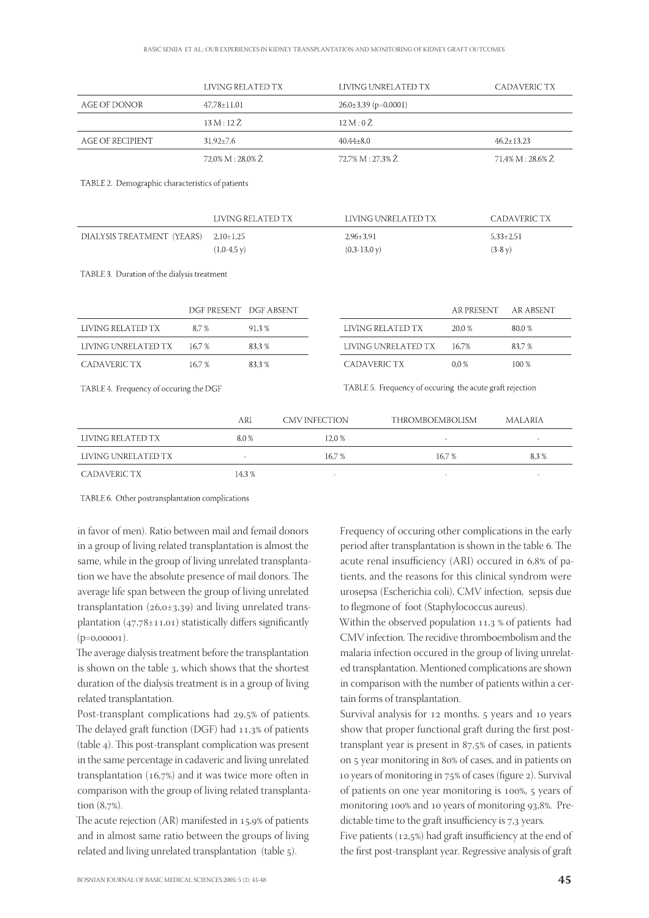|                                                                |                    | LIVING RELATED TX |                      |                   | LIVING UNRELATED TX                                      |                   | <b>CADAVERIC TX</b> |  |
|----------------------------------------------------------------|--------------------|-------------------|----------------------|-------------------|----------------------------------------------------------|-------------------|---------------------|--|
| <b>AGE OF DONOR</b><br>$47,78 \pm 11,01$                       |                    |                   |                      |                   | 26,0±3,39 (p=0,0001)                                     |                   |                     |  |
|                                                                | 13 M: 12 Ž         |                   |                      | $12 M:0\tilde{Z}$ |                                                          |                   |                     |  |
| <b>AGE OF RECIPIENT</b>                                        | $31,92 \pm 7,6$    |                   |                      | $40,44\pm8,0$     |                                                          |                   | $46.2 \pm 13.23$    |  |
|                                                                |                    | 72,0% M: 28,0% Ž  |                      | 72,7% M: 27,3% Ž  |                                                          |                   | 71,4% M : 28,6% Ž   |  |
| TABLE 2. Demographic characteristics of patients               |                    |                   |                      |                   |                                                          |                   |                     |  |
|                                                                |                    | LIVING RELATED TX |                      |                   | LIVING UNRELATED TX                                      |                   | <b>CADAVERIC TX</b> |  |
| DIALYSIS TREATMENT (YEARS)<br>$2,10 \pm 1,25$<br>$(1,0-4,5 y)$ |                    |                   | $2,96 \pm 3,91$      |                   |                                                          | $5.33 \pm 2.51$   |                     |  |
|                                                                |                    |                   | $(0,3-13,0 y)$       |                   | $(3-8y)$                                                 |                   |                     |  |
| TABLE 3. Duration of the dialysis treatment                    | <b>DGF PRESENT</b> | <b>DGF ABSENT</b> |                      |                   |                                                          | <b>AR PRESENT</b> | <b>AR ABSENT</b>    |  |
| LIVING RELATED TX                                              | 8,7%               | 91,3%             |                      |                   | LIVING RELATED TX                                        | 20,0 %            | 80,0 %              |  |
| LIVING UNRELATED TX                                            | 16,7 %             | 83,3%             |                      |                   | LIVING UNRELATED TX                                      | 16,7%             | 83,7 %              |  |
| <b>CADAVERIC TX</b>                                            | 16,7%              | 83,3%             |                      |                   | <b>CADAVERIC TX</b>                                      | $0.0\%$           | 100 %               |  |
| TABLE 4. Frequency of occuring the DGF                         |                    |                   |                      |                   | TABLE 5. Frequency of occuring the acute graft rejection |                   |                     |  |
|                                                                |                    | <b>ARI</b>        | <b>CMV INFECTION</b> |                   | THROMBOEMBOLISM                                          |                   | <b>MALARIA</b>      |  |
| LIVING RELATED TX                                              |                    | 8,0%              |                      | 12,0 %            |                                                          |                   |                     |  |
| LIVING UNRELATED TX                                            |                    |                   |                      | 16,7%             |                                                          | 16,7 %            | 8,3%                |  |
| <b>CADAVERIC TX</b>                                            |                    | 14.3 %            |                      |                   |                                                          |                   |                     |  |

**CADAVERIC TX** 

TABLE 6. Other postransplantation complications

in favor of men). Ratio between mail and femail donors in a group of living related transplantation is almost the same, while in the group of living unrelated transplantation we have the absolute presence of mail donors. The average life span between the group of living unrelated transplantation  $(26,0.1,3.39)$  and living unrelated transplantation  $(47,78±11,01)$  statistically differs significantly  $(p=0,00001).$ 

The average dialysis treatment before the transplantation is shown on the table 3, which shows that the shortest duration of the dialysis treatment is in a group of living related transplantation.

Post-transplant complications had 29,5% of patients. The delayed graft function (DGF) had 11,3% of patients  $(table 4)$ . This post-transplant complication was present in the same percentage in cadaveric and living unrelated transplantation  $(16,7%)$  and it was twice more often in comparison with the group of living related transplantation  $(8,7\%)$ .

The acute rejection  $(AR)$  manifested in 15,9% of patients and in almost same ratio between the groups of living related and living unrelated transplantation (table ).

Frequency of occuring other complications in the early period after transplantation is shown in the table 6. The acute renal insufficiency (ARI) occured in 6,8% of patients, and the reasons for this clinical syndrom were urosepsa (Escherichia coli), CMV infection, sepsis due to flegmone of foot (Staphylococcus aureus).

Within the observed population  $11.3$  % of patients had CMV infection. The recidive thromboembolism and the malaria infection occured in the group of living unrelated transplantation. Mentioned complications are shown in comparison with the number of patients within a certain forms of transplantation.

Survival analysis for 12 months, 5 years and 10 years show that proper functional graft during the first posttransplant year is present in  $87,5%$  of cases, in patients on 5 year monitoring in 80% of cases, and in patients on 10 years of monitoring in  $75\%$  of cases (figure 2). Survival of patients on one year monitoring is 100%, 5 years of monitoring  $100\%$  and  $10$  years of monitoring  $93.8\%$ . Predictable time to the graft insufficiency is  $7.3$  years.

Five patients  $(12.5%)$  had graft insufficiency at the end of the first post-transplant year. Regressive analysis of graft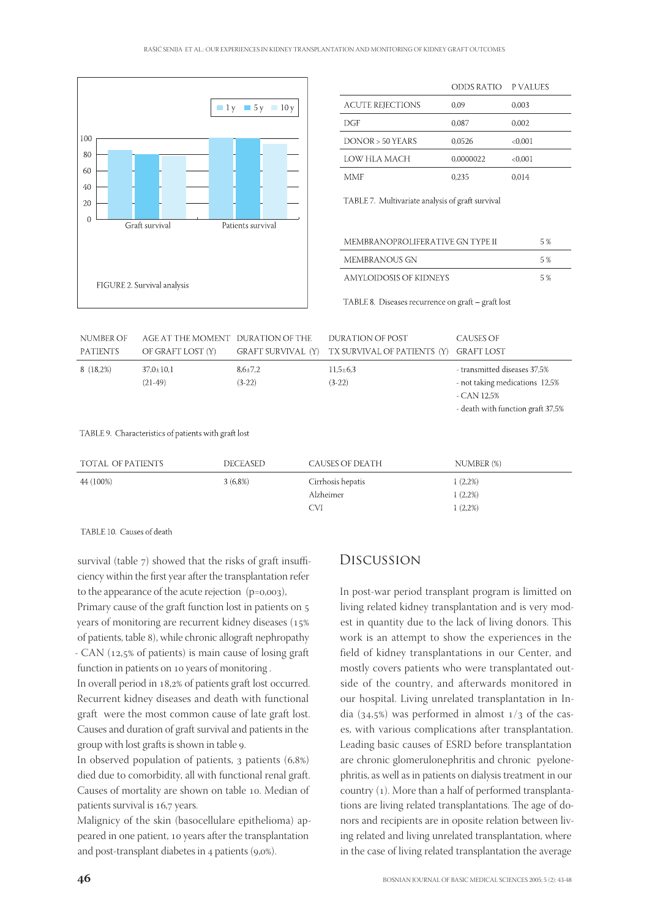

|                         | ODDS RATIO P VALUES |                |
|-------------------------|---------------------|----------------|
| <b>ACUTE REJECTIONS</b> | 0.09                | 0.003          |
| DGF                     | 0.087               | 0.002          |
| $DOMOR > 50$ YEARS      | 0.0526              | $<$ 0.001 $\,$ |
| LOW HLA MACH            | 0,0000022           | ${<}0.001$     |
| MMF                     | 0.235               | 0.014          |

TABLE 7. Multivariate analysis of graft survival

| MEMBRANOPROLIFERATIVE GN TYPE II | .5 % |
|----------------------------------|------|
| MEMBRANOUS GN                    | .5 % |
| AMYLOIDOSIS OF KIDNEYS           | .5 % |

TABLE 8. Diseases recurrence on graft - graft lost

| NUMBER OF<br><b>PATIENTS</b>                         | AGE AT THE MOMENT<br>OF GRAFT LOST (Y) | DURATION OF THE<br><b>GRAFT SURVIVAL (Y)</b> | DURATION OF POST<br>TX SURVIVAL OF PATIENTS (Y) | <b>CAUSES OF</b><br><b>GRAFT LOST</b>                                                                               |  |  |  |
|------------------------------------------------------|----------------------------------------|----------------------------------------------|-------------------------------------------------|---------------------------------------------------------------------------------------------------------------------|--|--|--|
| 8 (18,2%)                                            | $37.0 \pm 10.1$<br>$(21-49)$           | $8.6 \pm 7.2$<br>$(3-22)$                    | $11,5+6,3$<br>$(3-22)$                          | - transmitted diseases 37.5%<br>- not taking medications 12,5%<br>$-CAN$ 12.5%<br>- death with function graft 37,5% |  |  |  |
| TABLE 9. Characteristics of patients with graft lost |                                        |                                              |                                                 |                                                                                                                     |  |  |  |
| TOTAL OF PATIENTS                                    |                                        | <b>DECEASED</b>                              | <b>CAUSES OF DEATH</b>                          | NUMBER (%)                                                                                                          |  |  |  |
| 44 (100%)                                            |                                        | $3(6.8\%)$                                   | Cirrhosis hepatis                               | $1(2,2\%)$                                                                                                          |  |  |  |

Alzheimer

**CVI** 

TABLE 10. Causes of death

survival (table  $7$ ) showed that the risks of graft insufficiency within the first year after the transplantation refer to the appearance of the acute rejection  $(p=0,003)$ ,

Primary cause of the graft function lost in patients on 5 years of monitoring are recurrent kidney diseases ( of patients, table 8), while chronic allograft nephropathy  $-$  CAN (12,5% of patients) is main cause of losing graft function in patients on 10 years of monitoring.

In overall period in 18,2% of patients graft lost occurred. Recurrent kidney diseases and death with functional graft were the most common cause of late graft lost. Causes and duration of graft survival and patients in the group with lost grafts is shown in table 9.

In observed population of patients,  $\overline{3}$  patients (6,8%) died due to comorbidity, all with functional renal graft. Causes of mortality are shown on table 10. Median of patients survival is 16,7 years.

Malignicy of the skin (basocellulare epithelioma) appeared in one patient, 10 years after the transplantation and post-transplant diabetes in  $4$  patients  $(9,0\%)$ .

#### Discussion

In post-war period transplant program is limitted on living related kidney transplantation and is very modest in quantity due to the lack of living donors. This work is an attempt to show the experiences in the field of kidney transplantations in our Center, and mostly covers patients who were transplantated outside of the country, and afterwards monitored in our hospital. Living unrelated transplantation in India  $(34.5%)$  was performed in almost  $1/3$  of the cases, with various complications after transplantation. Leading basic causes of ESRD before transplantation are chronic glomerulonephritis and chronic pyelonephritis, as well as in patients on dialysis treatment in our country (1). More than a half of performed transplantations are living related transplantations. The age of donors and recipients are in oposite relation between living related and living unrelated transplantation, where in the case of living related transplantation the average

 $1(2,2\%)$ 

 $1(2,2\%)$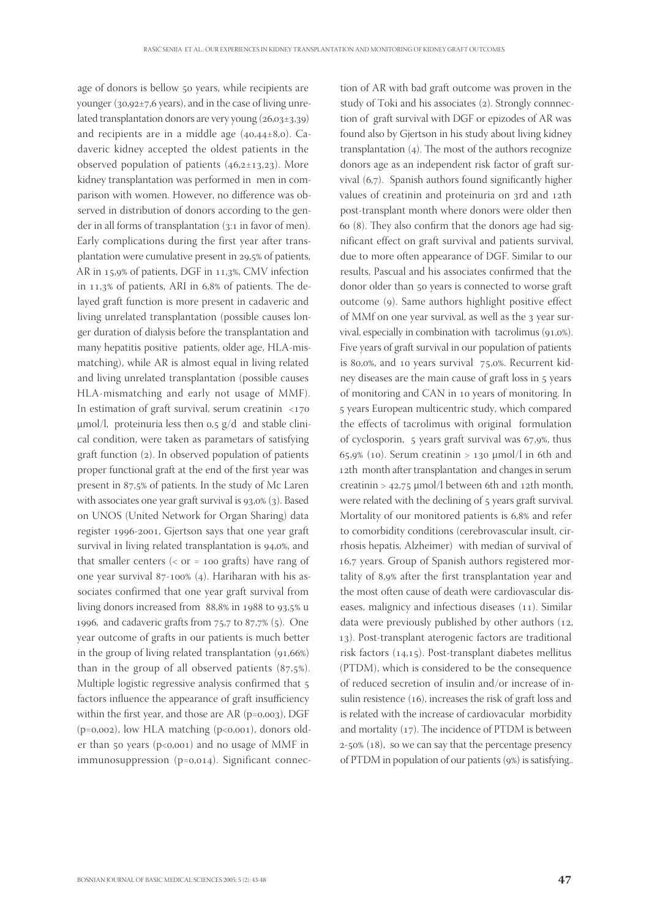age of donors is bellow 50 years, while recipients are younger  $(30, 92\pm 7, 6$  years), and in the case of living unrelated transplantation donors are very young  $(26,03\pm3,39)$ and recipients are in a middle age  $(40,44\pm8,0)$ . Cadaveric kidney accepted the oldest patients in the observed population of patients  $(46,2\pm13,23)$ . More kidney transplantation was performed in men in comparison with women. However, no difference was observed in distribution of donors according to the gender in all forms of transplantation (3:1 in favor of men). Early complications during the first year after transplantation were cumulative present in 29,5% of patients, AR in  $15,9\%$  of patients, DGF in  $11,3\%$ , CMV infection in  $11,3\%$  of patients, ARI in 6,8% of patients. The delayed graft function is more present in cadaveric and living unrelated transplantation (possible causes longer duration of dialysis before the transplantation and many hepatitis positive patients, older age, HLA-mismatching), while AR is almost equal in living related and living unrelated transplantation (possible causes HLA-mismatching and early not usage of MMF). In estimation of graft survival, serum creatinin  $\langle 170$  $\mu$ mol/l, proteinuria less then 0,5 g/d and stable clinical condition, were taken as parametars of satisfying graft function  $(2)$ . In observed population of patients proper functional graft at the end of the first year was present in  $87.5\%$  of patients. In the study of Mc Laren with associates one year graft survival is  $93,0\%$  (3). Based on UNOS (United Network for Organ Sharing) data register 1996-2001, Gjertson says that one year graft survival in living related transplantation is 94,0%, and that smaller centers  $( $or = 100$  grafts) have rang of$ one year survival  $87-100\%$  (4). Hariharan with his associates confirmed that one year graft survival from living donors increased from  $88,8\%$  in 1988 to 93,5% u 1996, and cadaveric grafts from  $75.7$  to  $87.7\%$  (5). One year outcome of grafts in our patients is much better in the group of living related transplantation  $(91,66%)$ than in the group of all observed patients  $(87.5\%)$ . Multiple logistic regressive analysis confirmed that 5 factors influence the appearance of graft insufficiency within the first year, and those are AR ( $p=0,003$ ), DGF  $(p=0,002)$ , low HLA matching  $(p<0,001)$ , donors older than 50 years ( $p<0,001$ ) and no usage of MMF in immunosuppression  $(p=0,014)$ . Significant connection of AR with bad graft outcome was proven in the study of Toki and his associates (2). Strongly connnection of graft survival with DGF or epizodes of AR was found also by Gjertson in his study about living kidney transplantation  $(4)$ . The most of the authors recognize donors age as an independent risk factor of graft survival  $(6,7)$ . Spanish authors found significantly higher values of creatinin and proteinuria on 3rd and 12th post-transplant month where donors were older then  $(60)(8)$ . They also confirm that the donors age had significant effect on graft survival and patients survival, due to more often appearance of DGF. Similar to our results, Pascual and his associates confirmed that the donor older than 50 years is connected to worse graft outcome (9). Same authors highlight positive effect of MMf on one year survival, as well as the 3 year survival, especially in combination with tacrolimus  $(91,0\%)$ . Five years of graft survival in our population of patients is 80,0%, and 10 years survival  $75,0\%$ . Recurrent kidney diseases are the main cause of graft loss in 5 years of monitoring and CAN in 10 years of monitoring. In 5 years European multicentric study, which compared the effects of tacrolimus with original formulation of cyclosporin, 5 years graft survival was 67,9%, thus 65,9% (10). Serum creatinin > 130  $\mu$ mol/l in 6th and 12th month after transplantation and changes in serum creatinin >  $42,75 \text{ } \mu \text{mol}/\text{l}$  between 6th and 12th month, were related with the declining of 5 years graft survival. Mortality of our monitored patients is 6,8% and refer to comorbidity conditions (cerebrovascular insult, cirrhosis hepatis, Alzheimer) with median of survival of 16,7 years. Group of Spanish authors registered mortality of 8,9% after the first transplantation year and the most often cause of death were cardiovascular diseases, malignicy and infectious diseases  $(11)$ . Similar data were previously published by other authors  $(12, 12)$ ). Post-transplant aterogenic factors are traditional risk factors  $(14,15)$ . Post-transplant diabetes mellitus (PTDM), which is considered to be the consequence of reduced secretion of insulin and/or increase of insulin resistence  $(16)$ , increases the risk of graft loss and is related with the increase of cardiovacular morbidity and mortality  $(17)$ . The incidence of PTDM is between  $2-50\%$  (18), so we can say that the percentage presency of PTDM in population of our patients (9%) is satisfying...